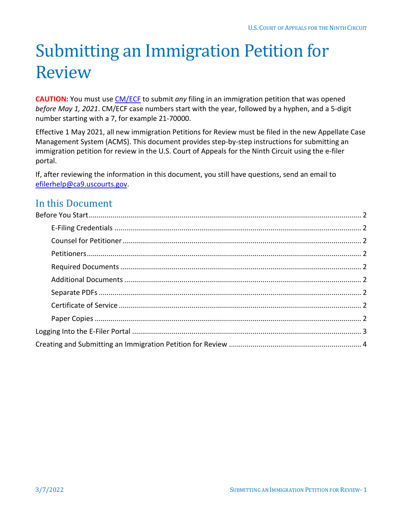# Submitting an Immigration Petition for Review

**CAUTION:** You must use [CM/ECF](https://ecf.ca9.uscourts.gov/n/AttorneyFiling/login.jsf) to submit *any* filing in an immigration petition that was opened *before May 1, 2021*. CM/ECF case numbers start with the year, followed by a hyphen, and a 5-digit number starting with a 7, for example 21-70000.

Effective 1 May 2021, all new immigration Petitions for Review must be filed in the new Appellate Case Management System (ACMS). This document provides step-by-step instructions for submitting an immigration petition for review in the U.S. Court of Appeals for the Ninth Circuit using the e-filer portal.

If, after reviewing the information in this document, you still have questions, send an email to [efilerhelp@ca9.uscourts.gov.](mailto:efilerhelp@ca9.uscourts.gov)

### In this Document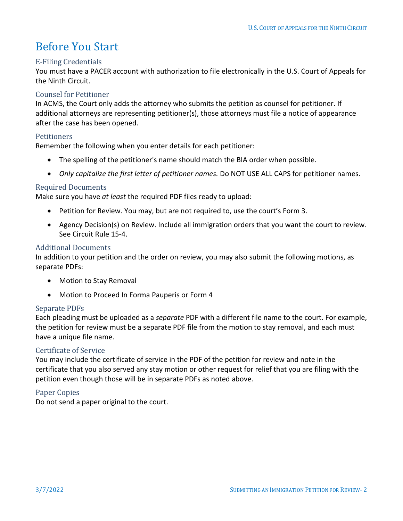## <span id="page-1-0"></span>Before You Start

#### <span id="page-1-1"></span>E-Filing Credentials

You must have a PACER account with authorization to file electronically in the U.S. Court of Appeals for the Ninth Circuit.

#### <span id="page-1-2"></span>Counsel for Petitioner

In ACMS, the Court only adds the attorney who submits the petition as counsel for petitioner. If additional attorneys are representing petitioner(s), those attorneys must file a notice of appearance after the case has been opened.

#### <span id="page-1-3"></span>**Petitioners**

Remember the following when you enter details for each petitioner:

- The spelling of the petitioner's name should match the BIA order when possible.
- *Only capitalize the first letter of petitioner names.* Do NOT USE ALL CAPS for petitioner names.

#### <span id="page-1-4"></span>Required Documents

Make sure you have *at least* the required PDF files ready to upload:

- Petition for Review. You may, but are not required to, use the court's Form 3.
- Agency Decision(s) on Review. Include all immigration orders that you want the court to review. See Circuit Rule 15-4.

#### <span id="page-1-5"></span>Additional Documents

In addition to your petition and the order on review, you may also submit the following motions, as separate PDFs:

- Motion to Stay Removal
- Motion to Proceed In Forma Pauperis or Form 4

#### <span id="page-1-6"></span>Separate PDFs

Each pleading must be uploaded as a *separate* PDF with a different file name to the court. For example, the petition for review must be a separate PDF file from the motion to stay removal, and each must have a unique file name.

#### <span id="page-1-7"></span>Certificate of Service

You may include the certificate of service in the PDF of the petition for review and note in the certificate that you also served any stay motion or other request for relief that you are filing with the petition even though those will be in separate PDFs as noted above.

#### <span id="page-1-8"></span>Paper Copies

Do not send a paper original to the court.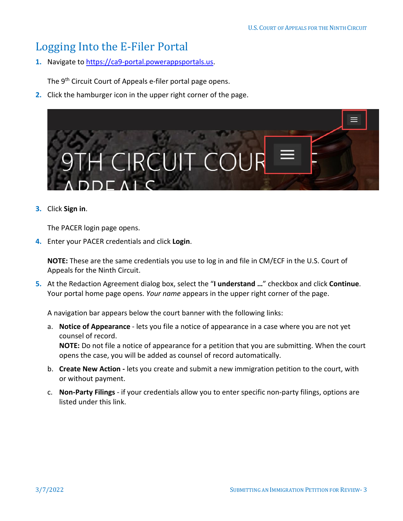### <span id="page-2-0"></span>Logging Into the E-Filer Portal

**1.** Navigate to [https://ca9-portal.powerappsportals.us.](https://ca9-portal.powerappsportals.us/)

The 9<sup>th</sup> Circuit Court of Appeals e-filer portal page opens.

**2.** Click the hamburger icon in the upper right corner of the page.



#### **3.** Click **Sign in**.

The PACER login page opens.

**4.** Enter your PACER credentials and click **Login**.

**NOTE:** These are the same credentials you use to log in and file in CM/ECF in the U.S. Court of Appeals for the Ninth Circuit.

**5.** At the Redaction Agreement dialog box, select the "**I understand …**" checkbox and click **Continue**. Your portal home page opens. *Your name* appears in the upper right corner of the page.

A navigation bar appears below the court banner with the following links:

a. **Notice of Appearance** - lets you file a notice of appearance in a case where you are not yet counsel of record. **NOTE:** Do not file a notice of appearance for a petition that you are submitting. When the court

opens the case, you will be added as counsel of record automatically.

- b. **Create New Action -** lets you create and submit a new immigration petition to the court, with or without payment.
- c. **Non-Party Filings** if your credentials allow you to enter specific non-party filings, options are listed under this link.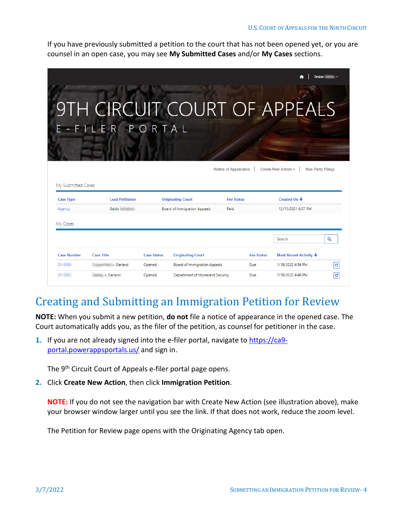If you have previously submitted a petition to the court that has not been opened yet, or you are counsel in an open case, you may see **My Submitted Cases** and/or **My Cases** sections.

|                                        | E-FILER PORTAL         |                    | 9TH CIRCUIT COURT OF APPEALS        | Notice of Appearance |                   | Create New Action -              | <b>Tester</b><br>Non-Party Filings |
|----------------------------------------|------------------------|--------------------|-------------------------------------|----------------------|-------------------|----------------------------------|------------------------------------|
| My Submitted Cases<br><b>Case Type</b> | <b>Lead Petitioner</b> |                    | <b>Originating Court</b>            | <b>Fee Status</b>    |                   | Created On +                     |                                    |
| Agency<br>My Cases                     | <b>Baldo</b>           |                    | <b>Board of Immigration Appeals</b> | Paid                 |                   | 12/15/2021 6:37 PM               |                                    |
| <b>Case Number</b>                     | <b>Case Title</b>      | <b>Case Status</b> | <b>Originating Court</b>            |                      | <b>Fee Status</b> | Search<br>Most Recent Activity + | Q                                  |
| $21 -$                                 | v. Garland             | Opened             | <b>Board of Immigration Appeals</b> |                      | Due               | 1/18/2022 4:54 PM                | ø                                  |
| $21 -$                                 | v. Garland             | Opened             | Department of Homeland Security     |                      | Due.              | 1/18/2022 4:46 PM                | ø                                  |

### <span id="page-3-0"></span>Creating and Submitting an Immigration Petition for Review

**NOTE:** When you submit a new petition, **do not** file a notice of appearance in the opened case. The Court automatically adds you, as the filer of the petition, as counsel for petitioner in the case.

**1.** If you are not already signed into the e-filer portal, navigate t[o https://ca9](https://ca9-portal.powerappsportals.us/) [portal.powerappsportals.us/](https://ca9-portal.powerappsportals.us/) and sign in.

The 9<sup>th</sup> Circuit Court of Appeals e-filer portal page opens.

**2.** Click **Create New Action**, then click **Immigration Petition**.

**NOTE:** If you do not see the navigation bar with Create New Action (see illustration above), make your browser window larger until you see the link. If that does not work, reduce the zoom level.

The Petition for Review page opens with the Originating Agency tab open.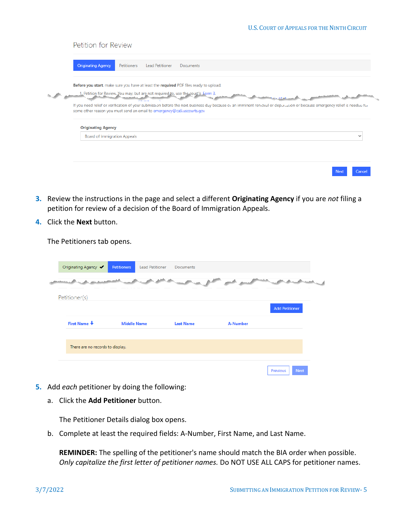| Petition for Review                                                                                                                                                                                                                                  |  |
|------------------------------------------------------------------------------------------------------------------------------------------------------------------------------------------------------------------------------------------------------|--|
| <b>Originating Agency</b><br>Petitioners<br><b>Lead Petitioner</b><br><b>Documents</b>                                                                                                                                                               |  |
| Before you start, make sure you have at least the required PDF files ready to upload:                                                                                                                                                                |  |
| 1. Petition for Review. You may, but are not required to, use the court's Form 3.<br><b>BALL 4DAM</b>                                                                                                                                                |  |
| If you need relief or verification of your submission before the next business day because or an imminent removal or deportation or because emergency relief is needed for<br>some other reason you must send an email to emergency@ca9.uscourts.gov |  |
| <b>Originating Agency</b>                                                                                                                                                                                                                            |  |
| <b>Board of Immigration Appeals</b><br>$\check{ }$                                                                                                                                                                                                   |  |
|                                                                                                                                                                                                                                                      |  |
|                                                                                                                                                                                                                                                      |  |
| Cancel<br><b>Next</b>                                                                                                                                                                                                                                |  |

- **3.** Review the instructions in the page and select a different **Originating Agency** if you are *not* filing a petition for review of a decision of the Board of Immigration Appeals.
- **4.** Click the **Next** button.

The Petitioners tab opens.

| Originating Agency ✔             | <b>Petitioners</b> | Lead Petitioner<br><b>Documents</b> |                 |                       |
|----------------------------------|--------------------|-------------------------------------|-----------------|-----------------------|
|                                  |                    |                                     |                 |                       |
| Petitioner(s)                    |                    |                                     |                 |                       |
|                                  |                    |                                     |                 | <b>Add Petitioner</b> |
| First Name +                     | <b>Middle Name</b> | <b>Last Name</b>                    | <b>A-Number</b> |                       |
|                                  |                    |                                     |                 |                       |
| There are no records to display. |                    |                                     |                 |                       |
|                                  |                    |                                     |                 |                       |

- **5.** Add *each* petitioner by doing the following:
	- a. Click the **Add Petitioner** button.

The Petitioner Details dialog box opens.

b. Complete at least the required fields: A-Number, First Name, and Last Name.

**REMINDER:** The spelling of the petitioner's name should match the BIA order when possible. *Only capitalize the first letter of petitioner names.* Do NOT USE ALL CAPS for petitioner names.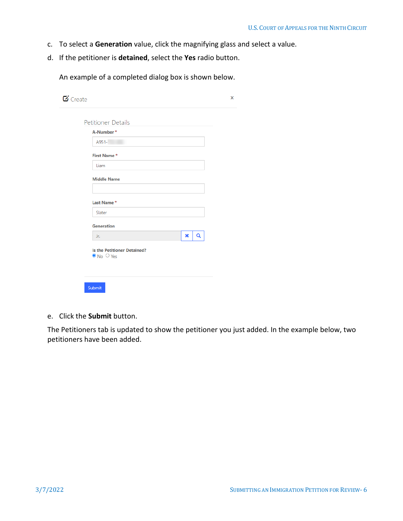- c. To select a **Generation** value, click the magnifying glass and select a value.
- d. If the petitioner is **detained**, select the **Yes** radio button.

An example of a completed dialog box is shown below.

| A-Number*                          |   |   |
|------------------------------------|---|---|
| A951-                              |   |   |
| First Name*                        |   |   |
| Liam                               |   |   |
| <b>Middle Name</b>                 |   |   |
|                                    |   |   |
| Last Name*                         |   |   |
| Slater                             |   |   |
| <b>Generation</b>                  |   |   |
| Jr.                                | × | Q |
| <b>Is the Petitioner Detained?</b> |   |   |

e. Click the **Submit** button.

The Petitioners tab is updated to show the petitioner you just added. In the example below, two petitioners have been added.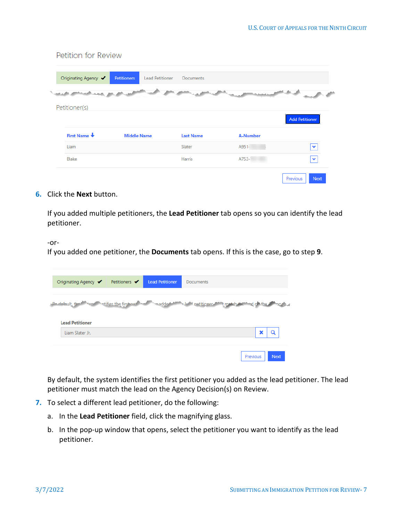| Originating Agency ✔ | <b>Petitioners</b> | <b>Lead Petitioner</b><br>Documents |                 |                       |
|----------------------|--------------------|-------------------------------------|-----------------|-----------------------|
|                      |                    |                                     |                 |                       |
|                      |                    |                                     |                 |                       |
|                      |                    |                                     |                 |                       |
| Petitioner(s)        |                    |                                     |                 |                       |
|                      |                    |                                     |                 | <b>Add Petitioner</b> |
| First Name +         | <b>Middle Name</b> | <b>Last Name</b>                    | <b>A-Number</b> |                       |
| Liam                 |                    | Slater                              | A951-           | $\checkmark$          |

#### **6.** Click the **Next** button.

Petition for Review

If you added multiple petitioners, the **Lead Petitioner** tab opens so you can identify the lead petitioner.

-or-

If you added one petitioner, the **Documents** tab opens. If this is the case, go to step **[9](#page-7-0)**.

| Originating Agency ✔   | Petitioners $\blacktriangledown$ | <b>Lead Petitioner</b> | <b>Documents</b>                                                                                                                                                                                                              |   |
|------------------------|----------------------------------|------------------------|-------------------------------------------------------------------------------------------------------------------------------------------------------------------------------------------------------------------------------|---|
|                        |                                  |                        |                                                                                                                                                                                                                               |   |
| <b>Development</b> , t | top atifies the first not        | adde <sup>4</sup>      | when unatitioner with match the whole a story of the state of the state of the state of the state of the state of the state of the state of the state of the state of the state of the state of the state of the state of the |   |
|                        |                                  |                        |                                                                                                                                                                                                                               |   |
|                        |                                  |                        |                                                                                                                                                                                                                               |   |
| <b>Lead Petitioner</b> |                                  |                        |                                                                                                                                                                                                                               |   |
| Liam Slater Jr.        |                                  |                        |                                                                                                                                                                                                                               | Q |
|                        |                                  |                        |                                                                                                                                                                                                                               |   |

By default, the system identifies the first petitioner you added as the lead petitioner. The lead petitioner must match the lead on the Agency Decision(s) on Review.

- **7.** To select a different lead petitioner, do the following:
	- a. In the **Lead Petitioner** field, click the magnifying glass.
	- b. In the pop-up window that opens, select the petitioner you want to identify as the lead petitioner.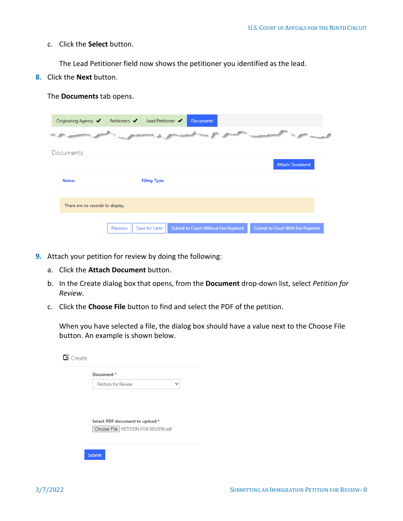#### c. Click the **Select** button.

The **Documents** tab opens.

The Lead Petitioner field now shows the petitioner you identified as the lead.

**8.** Click the **Next** button.

| Originating Agency ✔             | Petitioners $\blacktriangledown$ | Lead Petitioner $\blacktriangledown$ | <b>Documents</b>                    |                                  |
|----------------------------------|----------------------------------|--------------------------------------|-------------------------------------|----------------------------------|
| $-0.05$                          |                                  |                                      |                                     | <b>CONTRACTOR</b>                |
| Documents                        |                                  |                                      |                                     |                                  |
|                                  |                                  |                                      |                                     | <b>Attach Document</b>           |
| <b>Name</b>                      |                                  | <b>Filing Type</b>                   |                                     |                                  |
|                                  |                                  |                                      |                                     |                                  |
| There are no records to display. |                                  |                                      |                                     |                                  |
|                                  | Previous                         | Save for Later                       | Submit to Court Without Fee Payment | Submit to Court With Fee Payment |

- <span id="page-7-0"></span>**9.** Attach your petition for review by doing the following:
	- a. Click the **Attach Document** button.
	- b. In the Create dialog box that opens, from the **Document** drop-down list, select *Petition for Review*.
	- c. Click the **Choose File** button to find and select the PDF of the petition.

When you have selected a file, the dialog box should have a value next to the Choose File button. An example is shown below.

| Document*                             |              |
|---------------------------------------|--------------|
| Petition for Review                   | $\checkmark$ |
|                                       |              |
|                                       |              |
|                                       |              |
|                                       |              |
| Select PDF document to upload *       |              |
| Choose File   PETITION FOR REVIEW.pdf |              |
|                                       |              |
|                                       |              |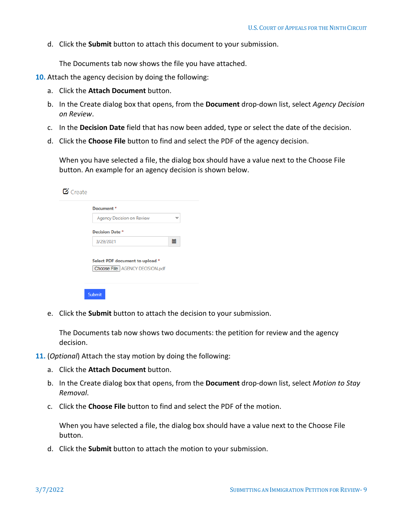d. Click the **Submit** button to attach this document to your submission.

The Documents tab now shows the file you have attached.

- **10.** Attach the agency decision by doing the following:
	- a. Click the **Attach Document** button.
	- b. In the Create dialog box that opens, from the **Document** drop-down list, select *Agency Decision on Review*.
	- c. In the **Decision Date** field that has now been added, type or select the date of the decision.
	- d. Click the **Choose File** button to find and select the PDF of the agency decision.

When you have selected a file, the dialog box should have a value next to the Choose File button. An example for an agency decision is shown below.

| Document*                       |              |
|---------------------------------|--------------|
| Agency Decision on Review       | $\checkmark$ |
| <b>Decision Date *</b>          |              |
| 3/29/2021                       | 篇            |
|                                 |              |
| Select PDF document to upload * |              |
|                                 |              |

e. Click the **Submit** button to attach the decision to your submission.

The Documents tab now shows two documents: the petition for review and the agency decision.

- **11.** (*Optional*) Attach the stay motion by doing the following:
	- a. Click the **Attach Document** button.
	- b. In the Create dialog box that opens, from the **Document** drop-down list, select *Motion to Stay Removal*.
	- c. Click the **Choose File** button to find and select the PDF of the motion.

When you have selected a file, the dialog box should have a value next to the Choose File button.

d. Click the **Submit** button to attach the motion to your submission.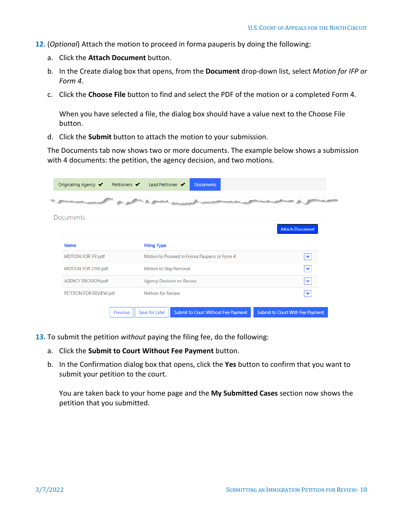- **12.** (*Optional*) Attach the motion to proceed in forma pauperis by doing the following:
	- a. Click the **Attach Document** button.
	- b. In the Create dialog box that opens, from the **Document** drop-down list, select *Motion for IFP or Form 4*.
	- c. Click the **Choose File** button to find and select the PDF of the motion or a completed Form 4.

When you have selected a file, the dialog box should have a value next to the Choose File button.

d. Click the **Submit** button to attach the motion to your submission.

The Documents tab now shows two or more documents. The example below shows a submission with 4 documents: the petition, the agency decision, and two motions.

| Originating Agency ◆    | Petitioners $\blacktriangledown$ | Lead Petitioner $\blacktriangledown$ | <b>Documents</b>                              |                                  |
|-------------------------|----------------------------------|--------------------------------------|-----------------------------------------------|----------------------------------|
|                         |                                  |                                      |                                               |                                  |
| Documents               |                                  |                                      |                                               |                                  |
|                         |                                  |                                      |                                               | <b>Attach Document</b>           |
| <b>Name</b>             |                                  | <b>Filing Type</b>                   |                                               |                                  |
| MOTION FOR IFP.pdf      |                                  |                                      | Motion to Proceed In Forma Pauperis or Form 4 | $\checkmark$                     |
| MOTION FOR STAY.pdf     |                                  | Motion to Stay Removal               |                                               | $\checkmark$                     |
| AGENCY DECISION.pdf     |                                  |                                      | Agency Decision on Review                     | $\checkmark$                     |
| PETITION FOR REVIEW.pdf |                                  | <b>Petition for Review</b>           |                                               |                                  |
|                         |                                  |                                      |                                               |                                  |
|                         | Previous                         | Save for Later                       | Submit to Court Without Fee Payment           | Submit to Court With Fee Payment |

- **13.** To submit the petition *without* paying the filing fee, do the following:
	- a. Click the **Submit to Court Without Fee Payment** button.
	- b. In the Confirmation dialog box that opens, click the **Yes** button to confirm that you want to submit your petition to the court.

You are taken back to your home page and the **My Submitted Cases** section now shows the petition that you submitted.